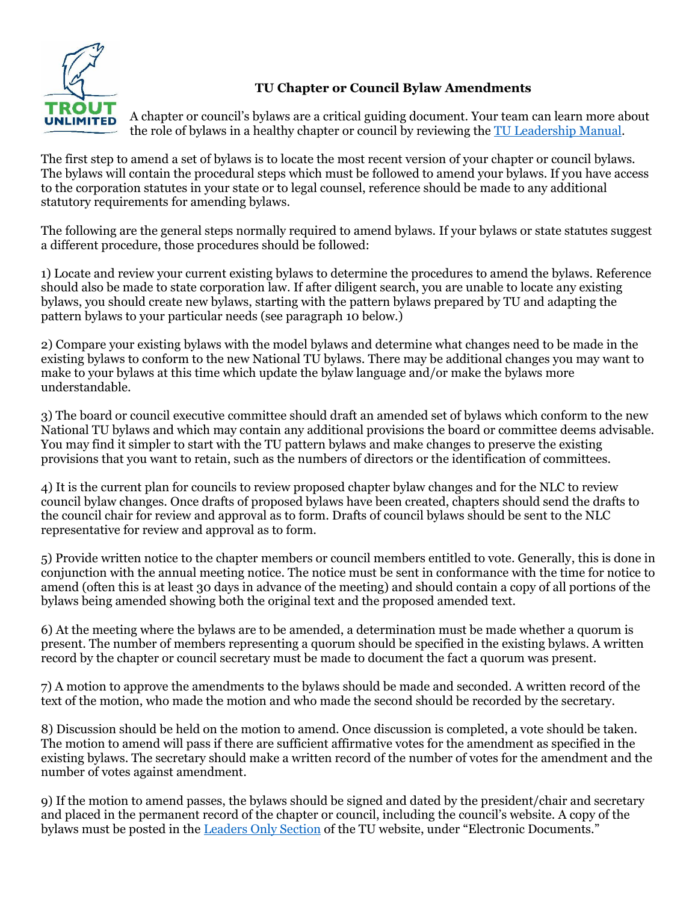

## **TU Chapter or Council Bylaw Amendments**

A chapter or council's bylaws are a critical guiding document. Your team can learn more about the role of bylaws in a healthy chapter or council by reviewing the [TU Leadership Manual.](https://www.tu.org/get-involved/volunteer-tacklebox/chapter-leader-resources/)

The first step to amend a set of bylaws is to locate the most recent version of your chapter or council bylaws. The bylaws will contain the procedural steps which must be followed to amend your bylaws. If you have access to the corporation statutes in your state or to legal counsel, reference should be made to any additional statutory requirements for amending bylaws.

The following are the general steps normally required to amend bylaws. If your bylaws or state statutes suggest a different procedure, those procedures should be followed:

1) Locate and review your current existing bylaws to determine the procedures to amend the bylaws. Reference should also be made to state corporation law. If after diligent search, you are unable to locate any existing bylaws, you should create new bylaws, starting with the pattern bylaws prepared by TU and adapting the pattern bylaws to your particular needs (see paragraph 10 below.)

2) Compare your existing bylaws with the model bylaws and determine what changes need to be made in the existing bylaws to conform to the new National TU bylaws. There may be additional changes you may want to make to your bylaws at this time which update the bylaw language and/or make the bylaws more understandable.

3) The board or council executive committee should draft an amended set of bylaws which conform to the new National TU bylaws and which may contain any additional provisions the board or committee deems advisable. You may find it simpler to start with the TU pattern bylaws and make changes to preserve the existing provisions that you want to retain, such as the numbers of directors or the identification of committees.

4) It is the current plan for councils to review proposed chapter bylaw changes and for the NLC to review council bylaw changes. Once drafts of proposed bylaws have been created, chapters should send the drafts to the council chair for review and approval as to form. Drafts of council bylaws should be sent to the NLC representative for review and approval as to form.

5) Provide written notice to the chapter members or council members entitled to vote. Generally, this is done in conjunction with the annual meeting notice. The notice must be sent in conformance with the time for notice to amend (often this is at least 30 days in advance of the meeting) and should contain a copy of all portions of the bylaws being amended showing both the original text and the proposed amended text.

6) At the meeting where the bylaws are to be amended, a determination must be made whether a quorum is present. The number of members representing a quorum should be specified in the existing bylaws. A written record by the chapter or council secretary must be made to document the fact a quorum was present.

7) A motion to approve the amendments to the bylaws should be made and seconded. A written record of the text of the motion, who made the motion and who made the second should be recorded by the secretary.

8) Discussion should be held on the motion to amend. Once discussion is completed, a vote should be taken. The motion to amend will pass if there are sufficient affirmative votes for the amendment as specified in the existing bylaws. The secretary should make a written record of the number of votes for the amendment and the number of votes against amendment.

9) If the motion to amend passes, the bylaws should be signed and dated by the president/chair and secretary and placed in the permanent record of the chapter or council, including the council's website. A copy of the bylaws must be posted in the [Leaders Only Section](https://vimeo.com/458525361/d484d0d805) of the TU website, under "Electronic Documents."